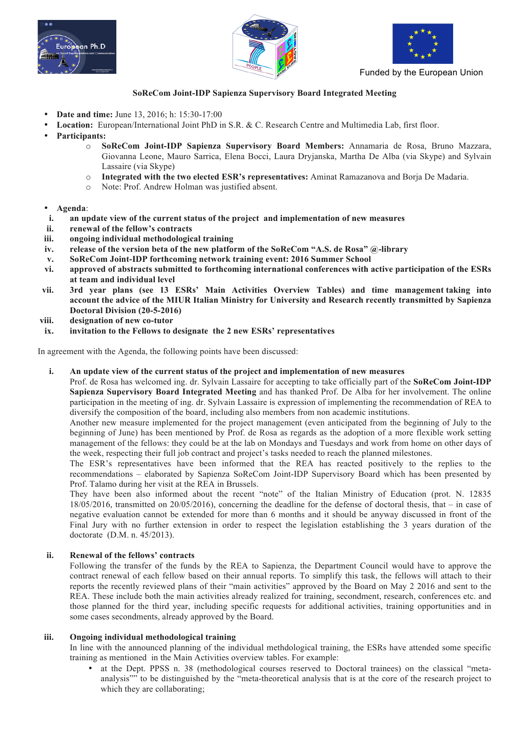





Funded by the European Union

# **SoReCom Joint-IDP Sapienza Supervisory Board Integrated Meeting**

- **Date and time:** June 13, 2016; h: 15:30-17:00
- **Location:** European/International Joint PhD in S.R. & C. Research Centre and Multimedia Lab, first floor.
- **Participants:**
	- o **SoReCom Joint-IDP Sapienza Supervisory Board Members:** Annamaria de Rosa, Bruno Mazzara, Giovanna Leone, Mauro Sarrica, Elena Bocci, Laura Dryjanska, Martha De Alba (via Skype) and Sylvain Lassaire (via Skype)
	- o **Integrated with the two elected ESR's representatives:** Aminat Ramazanova and Borja De Madaria.
	- o Note: Prof. Andrew Holman was justified absent.
- **Agenda**:
- **i. an update view of the current status of the project and implementation of new measures**
- **ii. renewal of the fellow's contracts**
- **iii. ongoing individual methodological training**
- **iv. release of the version beta of the new platform of the SoReCom "A.S. de Rosa" @-library**
- **v. SoReCom Joint-IDP forthcoming network training event: 2016 Summer School**
- **vi. approved of abstracts submitted to forthcoming international conferences with active participation of the ESRs at team and individual level**
- **vii. 3rd year plans (see 13 ESRs' Main Activities Overview Tables) and time management taking into account the advice of the MIUR Italian Ministry for University and Research recently transmitted by Sapienza Doctoral Division (20-5-2016)**
- **viii. designation of new co-tutor**
- **ix. invitation to the Fellows to designate the 2 new ESRs' representatives**

In agreement with the Agenda, the following points have been discussed:

**i. An update view of the current status of the project and implementation of new measures**

Prof. de Rosa has welcomed ing. dr. Sylvain Lassaire for accepting to take officially part of the **SoReCom Joint-IDP Sapienza Supervisory Board Integrated Meeting** and has thanked Prof. De Alba for her involvement. The online participation in the meeting of ing. dr. Sylvain Lassaire is expression of implementing the recommendation of REA to diversify the composition of the board, including also members from non academic institutions.

Another new measure implemented for the project management (even anticipated from the beginning of July to the beginning of June) has been mentioned by Prof. de Rosa as regards as the adoption of a more flexible work setting management of the fellows: they could be at the lab on Mondays and Tuesdays and work from home on other days of the week, respecting their full job contract and project's tasks needed to reach the planned milestones.

The ESR's representatives have been informed that the REA has reacted positively to the replies to the recommendations – elaborated by Sapienza SoReCom Joint-IDP Supervisory Board which has been presented by Prof. Talamo during her visit at the REA in Brussels.

They have been also informed about the recent "note" of the Italian Ministry of Education (prot. N. 12835 18/05/2016, transmitted on 20/05/2016), concerning the deadline for the defense of doctoral thesis, that – in case of negative evaluation cannot be extended for more than 6 months and it should be anyway discussed in front of the Final Jury with no further extension in order to respect the legislation establishing the 3 years duration of the doctorate (D.M. n. 45/2013).

## **ii. Renewal of the fellows' contracts**

Following the transfer of the funds by the REA to Sapienza, the Department Council would have to approve the contract renewal of each fellow based on their annual reports. To simplify this task, the fellows will attach to their reports the recently reviewed plans of their "main activities" approved by the Board on May 2 2016 and sent to the REA. These include both the main activities already realized for training, secondment, research, conferences etc. and those planned for the third year, including specific requests for additional activities, training opportunities and in some cases secondments, already approved by the Board.

## **iii. Ongoing individual methodological training**

In line with the announced planning of the individual methdological training, the ESRs have attended some specific training as mentioned in the Main Activities overview tables. For example:

• at the Dept. PPSS n. 38 (methodological courses reserved to Doctoral trainees) on the classical "metaanalysis"" to be distinguished by the "meta-theoretical analysis that is at the core of the research project to which they are collaborating;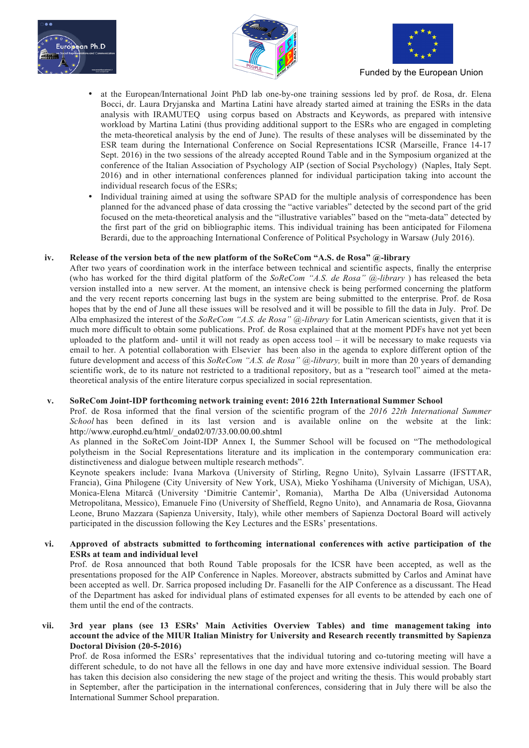





Funded by the European Union

- at the European/International Joint PhD lab one-by-one training sessions led by prof. de Rosa, dr. Elena Bocci, dr. Laura Dryjanska and Martina Latini have already started aimed at training the ESRs in the data analysis with IRAMUTEQ using corpus based on Abstracts and Keywords, as prepared with intensive workload by Martina Latini (thus providing additional support to the ESRs who are engaged in completing the meta-theoretical analysis by the end of June). The results of these analyses will be disseminated by the ESR team during the International Conference on Social Representations ICSR (Marseille, France 14-17 Sept. 2016) in the two sessions of the already accepted Round Table and in the Symposium organized at the conference of the Italian Association of Psychology AIP (section of Social Psychology) (Naples, Italy Sept. 2016) and in other international conferences planned for individual participation taking into account the individual research focus of the ESRs;
- Individual training aimed at using the software SPAD for the multiple analysis of correspondence has been planned for the advanced phase of data crossing the "active variables" detected by the second part of the grid focused on the meta-theoretical analysis and the "illustrative variables" based on the "meta-data" detected by the first part of the grid on bibliographic items. This individual training has been anticipated for Filomena Berardi, due to the approaching International Conference of Political Psychology in Warsaw (July 2016).

## **iv. Release of the version beta of the new platform of the SoReCom "A.S. de Rosa" @-library**

After two years of coordination work in the interface between technical and scientific aspects, finally the enterprise (who has worked for the third digital platform of the *SoReCom "A.S. de Rosa" @-library* ) has released the beta version installed into a new server. At the moment, an intensive check is being performed concerning the platform and the very recent reports concerning last bugs in the system are being submitted to the enterprise. Prof. de Rosa hopes that by the end of June all these issues will be resolved and it will be possible to fill the data in July. Prof. De Alba emphasized the interest of the *SoReCom "A.S. de Rosa" @-library* for Latin American scientists, given that it is much more difficult to obtain some publications. Prof. de Rosa explained that at the moment PDFs have not yet been uploaded to the platform and- until it will not ready as open access tool – it will be necessary to make requests via email to her. A potential collaboration with Elsevier has been also in the agenda to explore different option of the future development and access of this *SoReCom "A.S. de Rosa" @-library,* built in more than 20 years of demanding scientific work, de to its nature not restricted to a traditional repository, but as a "research tool" aimed at the metatheoretical analysis of the entire literature corpus specialized in social representation.

## **v. SoReCom Joint-IDP forthcoming network training event: 2016 22th International Summer School**

Prof. de Rosa informed that the final version of the scientific program of the *2016 22th International Summer School* has been defined in its last version and is available online on the website at the link: http://www.europhd.eu/html/\_onda02/07/33.00.00.00.shtml

As planned in the SoReCom Joint-IDP Annex I, the Summer School will be focused on "The methodological polytheism in the Social Representations literature and its implication in the contemporary communication era: distinctiveness and dialogue between multiple research methods".

Keynote speakers include: Ivana Markova (University of Stirling, Regno Unito), Sylvain Lassarre (IFSTTAR, Francia), Gina Philogene (City University of New York, USA), Mieko Yoshihama (University of Michigan, USA), Monica-Elena Mitarcă (University 'Dimitrie Cantemir', Romania), Martha De Alba (Universidad Autonoma Metropolitana, Messico), Emanuele Fino (University of Sheffield, Regno Unito), and Annamaria de Rosa, Giovanna Leone, Bruno Mazzara (Sapienza University, Italy), while other members of Sapienza Doctoral Board will actively participated in the discussion following the Key Lectures and the ESRs' presentations.

#### **vi. Approved of abstracts submitted to forthcoming international conferences with active participation of the ESRs at team and individual level**

Prof. de Rosa announced that both Round Table proposals for the ICSR have been accepted, as well as the presentations proposed for the AIP Conference in Naples. Moreover, abstracts submitted by Carlos and Aminat have been accepted as well. Dr. Sarrica proposed including Dr. Fasanelli for the AIP Conference as a discussant. The Head of the Department has asked for individual plans of estimated expenses for all events to be attended by each one of them until the end of the contracts.

### **vii. 3rd year plans (see 13 ESRs' Main Activities Overview Tables) and time management taking into account the advice of the MIUR Italian Ministry for University and Research recently transmitted by Sapienza Doctoral Division (20-5-2016)**

Prof. de Rosa informed the ESRs' representatives that the individual tutoring and co-tutoring meeting will have a different schedule, to do not have all the fellows in one day and have more extensive individual session. The Board has taken this decision also considering the new stage of the project and writing the thesis. This would probably start in September, after the participation in the international conferences, considering that in July there will be also the International Summer School preparation.